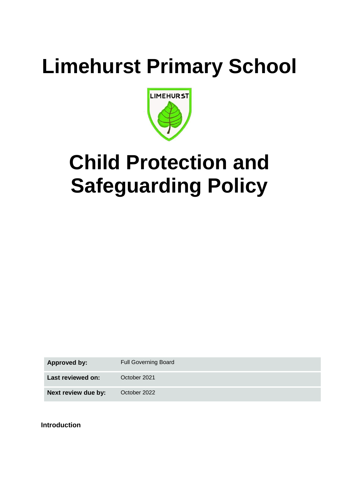## **Limehurst Primary School**



# **Child Protection and Safeguarding Policy**

Approved by: Full Governing Board **Last reviewed on:** October 2021 **Next review due by:** October 2022

**Introduction**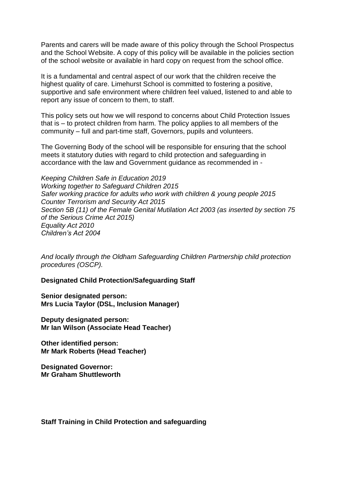Parents and carers will be made aware of this policy through the School Prospectus and the School Website. A copy of this policy will be available in the policies section of the school website or available in hard copy on request from the school office.

It is a fundamental and central aspect of our work that the children receive the highest quality of care. Limehurst School is committed to fostering a positive, supportive and safe environment where children feel valued, listened to and able to report any issue of concern to them, to staff.

This policy sets out how we will respond to concerns about Child Protection Issues that is – to protect children from harm. The policy applies to all members of the community – full and part-time staff, Governors, pupils and volunteers.

The Governing Body of the school will be responsible for ensuring that the school meets it statutory duties with regard to child protection and safeguarding in accordance with the law and Government guidance as recommended in -

*Keeping Children Safe in Education 2019 Working together to Safeguard Children 2015 Safer working practice for adults who work with children & young people 2015 Counter Terrorism and Security Act 2015 Section 5B (11) of the Female Genital Mutilation Act 2003 (as inserted by section 75 of the Serious Crime Act 2015) Equality Act 2010 Children's Act 2004*

*And locally through the Oldham Safeguarding Children Partnership child protection procedures (OSCP).*

**Designated Child Protection/Safeguarding Staff**

**Senior designated person: Mrs Lucia Taylor (DSL, Inclusion Manager)**

**Deputy designated person: Mr Ian Wilson (Associate Head Teacher)**

**Other identified person: Mr Mark Roberts (Head Teacher)**

**Designated Governor: Mr Graham Shuttleworth**

**Staff Training in Child Protection and safeguarding**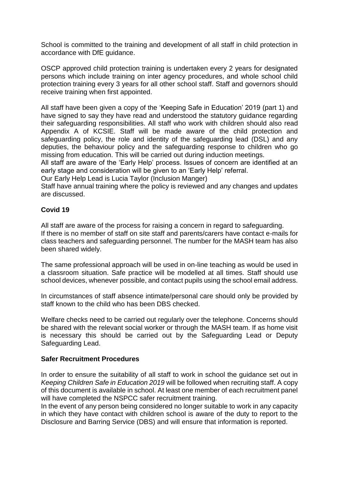School is committed to the training and development of all staff in child protection in accordance with DfE guidance.

OSCP approved child protection training is undertaken every 2 years for designated persons which include training on inter agency procedures, and whole school child protection training every 3 years for all other school staff. Staff and governors should receive training when first appointed.

All staff have been given a copy of the 'Keeping Safe in Education' 2019 (part 1) and have signed to say they have read and understood the statutory guidance regarding their safeguarding responsibilities. All staff who work with children should also read Appendix A of KCSIE. Staff will be made aware of the child protection and safeguarding policy, the role and identity of the safeguarding lead (DSL) and any deputies, the behaviour policy and the safeguarding response to children who go missing from education. This will be carried out during induction meetings.

All staff are aware of the 'Early Help' process. Issues of concern are identified at an early stage and consideration will be given to an 'Early Help' referral.

Our Early Help Lead is Lucia Taylor (Inclusion Manger)

Staff have annual training where the policy is reviewed and any changes and updates are discussed.

#### **Covid 19**

All staff are aware of the process for raising a concern in regard to safeguarding. If there is no member of staff on site staff and parents/carers have contact e-mails for class teachers and safeguarding personnel. The number for the MASH team has also been shared widely.

The same professional approach will be used in on-line teaching as would be used in a classroom situation. Safe practice will be modelled at all times. Staff should use school devices, whenever possible, and contact pupils using the school email address.

In circumstances of staff absence intimate/personal care should only be provided by staff known to the child who has been DBS checked.

Welfare checks need to be carried out regularly over the telephone. Concerns should be shared with the relevant social worker or through the MASH team. If as home visit is necessary this should be carried out by the Safeguarding Lead or Deputy Safeguarding Lead.

#### **Safer Recruitment Procedures**

In order to ensure the suitability of all staff to work in school the guidance set out in *Keeping Children Safe in Education 2019* will be followed when recruiting staff. A copy of this document is available in school. At least one member of each recruitment panel will have completed the NSPCC safer recruitment training.

In the event of any person being considered no longer suitable to work in any capacity in which they have contact with children school is aware of the duty to report to the Disclosure and Barring Service (DBS) and will ensure that information is reported.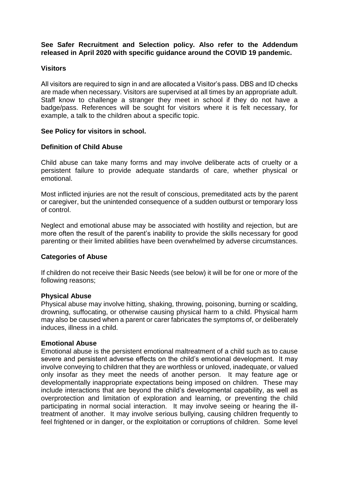#### **See Safer Recruitment and Selection policy. Also refer to the Addendum released in April 2020 with specific guidance around the COVID 19 pandemic.**

#### **Visitors**

All visitors are required to sign in and are allocated a Visitor's pass. DBS and ID checks are made when necessary. Visitors are supervised at all times by an appropriate adult. Staff know to challenge a stranger they meet in school if they do not have a badge/pass. References will be sought for visitors where it is felt necessary, for example, a talk to the children about a specific topic.

#### **See Policy for visitors in school.**

#### **Definition of Child Abuse**

Child abuse can take many forms and may involve deliberate acts of cruelty or a persistent failure to provide adequate standards of care, whether physical or emotional.

Most inflicted injuries are not the result of conscious, premeditated acts by the parent or caregiver, but the unintended consequence of a sudden outburst or temporary loss of control.

Neglect and emotional abuse may be associated with hostility and rejection, but are more often the result of the parent's inability to provide the skills necessary for good parenting or their limited abilities have been overwhelmed by adverse circumstances.

#### **Categories of Abuse**

If children do not receive their Basic Needs (see below) it will be for one or more of the following reasons;

#### **Physical Abuse**

Physical abuse may involve hitting, shaking, throwing, poisoning, burning or scalding, drowning, suffocating, or otherwise causing physical harm to a child. Physical harm may also be caused when a parent or carer fabricates the symptoms of, or deliberately induces, illness in a child.

#### **Emotional Abuse**

Emotional abuse is the persistent emotional maltreatment of a child such as to cause severe and persistent adverse effects on the child's emotional development. It may involve conveying to children that they are worthless or unloved, inadequate, or valued only insofar as they meet the needs of another person. It may feature age or developmentally inappropriate expectations being imposed on children. These may include interactions that are beyond the child's developmental capability, as well as overprotection and limitation of exploration and learning, or preventing the child participating in normal social interaction. It may involve seeing or hearing the illtreatment of another. It may involve serious bullying, causing children frequently to feel frightened or in danger, or the exploitation or corruptions of children. Some level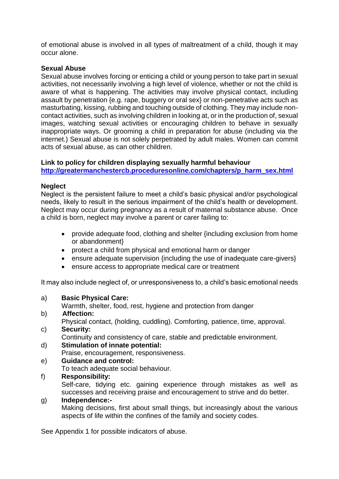of emotional abuse is involved in all types of maltreatment of a child, though it may occur alone.

## **Sexual Abuse**

Sexual abuse involves forcing or enticing a child or young person to take part in sexual activities, not necessarily involving a high level of violence, whether or not the child is aware of what is happening. The activities may involve physical contact, including assault by penetration {e.g. rape, buggery or oral sex} or non-penetrative acts such as masturbating, kissing, rubbing and touching outside of clothing. They may include noncontact activities, such as involving children in looking at, or in the production of, sexual images, watching sexual activities or encouraging children to behave in sexually inappropriate ways. Or grooming a child in preparation for abuse (including via the internet.) Sexual abuse is not solely perpetrated by adult males. Women can commit acts of sexual abuse, as can other children.

#### **Link to policy for children displaying sexually harmful behaviour**

**[http://greatermanchestercb.proceduresonline.com/chapters/p\\_harm\\_sex.html](http://greatermanchestercb.proceduresonline.com/chapters/p_harm_sex.html)**

#### **Neglect**

Neglect is the persistent failure to meet a child's basic physical and/or psychological needs, likely to result in the serious impairment of the child's health or development. Neglect may occur during pregnancy as a result of maternal substance abuse. Once a child is born, neglect may involve a parent or carer failing to:

- provide adequate food, clothing and shelter {including exclusion from home or abandonment}
- protect a child from physical and emotional harm or danger
- **e** ensure adequate supervision {including the use of inadequate care-givers}
- ensure access to appropriate medical care or treatment

It may also include neglect of, or unresponsiveness to, a child's basic emotional needs

#### a) **Basic Physical Care:**

Warmth, shelter, food, rest, hygiene and protection from danger

#### b) **Affection:**

Physical contact, (holding, cuddling). Comforting, patience, time, approval.

c) **Security:**

Continuity and consistency of care, stable and predictable environment.

#### d) **Stimulation of innate potential:**

Praise, encouragement, responsiveness.

e) **Guidance and control:** To teach adequate social behaviour.

#### f) **Responsibility:**

Self-care, tidying etc. gaining experience through mistakes as well as successes and receiving praise and encouragement to strive and do better.

#### g) **Independence:-**

Making decisions, first about small things, but increasingly about the various aspects of life within the confines of the family and society codes.

See Appendix 1 for possible indicators of abuse.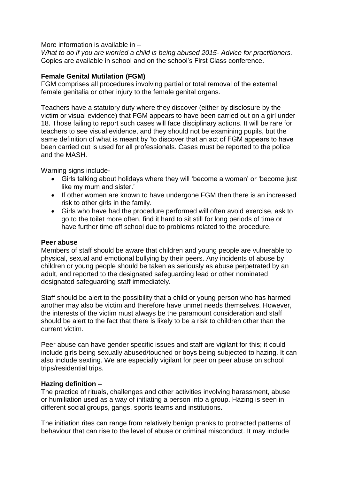#### More information is available in –

*What to do if you are worried a child is being abused 2015- Advice for practitioners.* Copies are available in school and on the school's First Class conference.

#### **Female Genital Mutilation (FGM)**

FGM comprises all procedures involving partial or total removal of the external female genitalia or other injury to the female genital organs.

Teachers have a statutory duty where they discover (either by disclosure by the victim or visual evidence) that FGM appears to have been carried out on a girl under 18. Those failing to report such cases will face disciplinary actions. It will be rare for teachers to see visual evidence, and they should not be examining pupils, but the same definition of what is meant by 'to discover that an act of FGM appears to have been carried out is used for all professionals. Cases must be reported to the police and the MASH.

Warning signs include-

- Girls talking about holidays where they will 'become a woman' or 'become just like my mum and sister.'
- If other women are known to have undergone FGM then there is an increased risk to other girls in the family.
- Girls who have had the procedure performed will often avoid exercise, ask to go to the toilet more often, find it hard to sit still for long periods of time or have further time off school due to problems related to the procedure.

#### **Peer abuse**

Members of staff should be aware that children and young people are vulnerable to physical, sexual and emotional bullying by their peers. Any incidents of abuse by children or young people should be taken as seriously as abuse perpetrated by an adult, and reported to the designated safeguarding lead or other nominated designated safeguarding staff immediately.

Staff should be alert to the possibility that a child or young person who has harmed another may also be victim and therefore have unmet needs themselves. However, the interests of the victim must always be the paramount consideration and staff should be alert to the fact that there is likely to be a risk to children other than the current victim.

Peer abuse can have gender specific issues and staff are vigilant for this; it could include girls being sexually abused/touched or boys being subjected to hazing. It can also include sexting. We are especially vigilant for peer on peer abuse on school trips/residential trips.

#### **Hazing definition –**

The practice of rituals, challenges and other activities involving harassment, abuse or humiliation used as a way of initiating a person into a group. Hazing is seen in different social groups, gangs, sports teams and institutions.

The initiation rites can range from relatively benign pranks to protracted patterns of behaviour that can rise to the level of abuse or criminal misconduct. It may include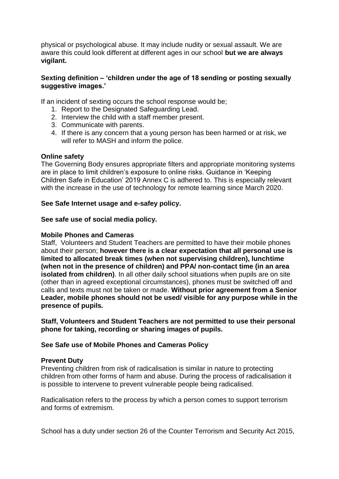physical or psychological abuse. It may include nudity or sexual assault. We are aware this could look different at different ages in our school **but we are always vigilant.**

#### **Sexting definition – 'children under the age of 18 sending or posting sexually suggestive images.'**

If an incident of sexting occurs the school response would be;

- 1. Report to the Designated Safeguarding Lead.
- 2. Interview the child with a staff member present.
- 3. Communicate with parents.
- 4. If there is any concern that a young person has been harmed or at risk, we will refer to MASH and inform the police.

#### **Online safety**

The Governing Body ensures appropriate filters and appropriate monitoring systems are in place to limit children's exposure to online risks. Guidance in 'Keeping Children Safe in Education' 2019 Annex C is adhered to. This is especially relevant with the increase in the use of technology for remote learning since March 2020.

#### **See Safe Internet usage and e-safey policy.**

#### **See safe use of social media policy.**

#### **Mobile Phones and Cameras**

Staff, Volunteers and Student Teachers are permitted to have their mobile phones about their person; **however there is a clear expectation that all personal use is limited to allocated break times (when not supervising children), lunchtime (when not in the presence of children) and PPA/ non-contact time (in an area isolated from children)**. In all other daily school situations when pupils are on site (other than in agreed exceptional circumstances), phones must be switched off and calls and texts must not be taken or made. **Without prior agreement from a Senior Leader, mobile phones should not be used/ visible for any purpose while in the presence of pupils.**

**Staff, Volunteers and Student Teachers are not permitted to use their personal phone for taking, recording or sharing images of pupils.**

#### **See Safe use of Mobile Phones and Cameras Policy**

#### **Prevent Duty**

Preventing children from risk of radicalisation is similar in nature to protecting children from other forms of harm and abuse. During the process of radicalisation it is possible to intervene to prevent vulnerable people being radicalised.

Radicalisation refers to the process by which a person comes to support terrorism and forms of extremism.

School has a duty under section 26 of the Counter Terrorism and Security Act 2015,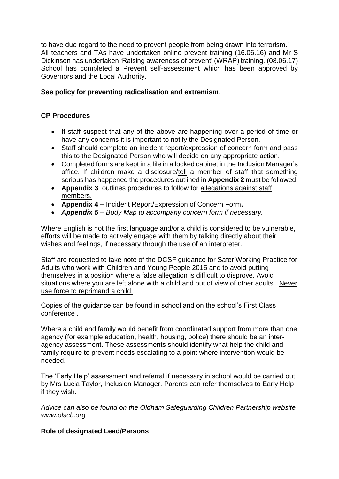to have due regard to the need to prevent people from being drawn into terrorism.' All teachers and TAs have undertaken online prevent training (16.06.16) and Mr S Dickinson has undertaken 'Raising awareness of prevent' (WRAP) training. (08.06.17) School has completed a Prevent self-assessment which has been approved by Governors and the Local Authority.

## **See policy for preventing radicalisation and extremism**.

## **CP Procedures**

- If staff suspect that any of the above are happening over a period of time or have any concerns it is important to notify the Designated Person.
- Staff should complete an incident report/expression of concern form and pass this to the Designated Person who will decide on any appropriate action.
- Completed forms are kept in a file in a locked cabinet in the Inclusion Manager's office. If children make a disclosure/tell a member of staff that something serious has happened the procedures outlined in **Appendix 2** must be followed.
- **Appendix 3** outlines procedures to follow for allegations against staff members.
- **Appendix 4 –** Incident Report/Expression of Concern Form**.**
- *Appendix 5 – Body Map to accompany concern form if necessary.*

Where English is not the first language and/or a child is considered to be vulnerable, efforts will be made to actively engage with them by talking directly about their wishes and feelings, if necessary through the use of an interpreter.

Staff are requested to take note of the DCSF guidance for Safer Working Practice for Adults who work with Children and Young People 2015 and to avoid putting themselves in a position where a false allegation is difficult to disprove. Avoid situations where you are left alone with a child and out of view of other adults. Never use force to reprimand a child.

Copies of the guidance can be found in school and on the school's First Class conference .

Where a child and family would benefit from coordinated support from more than one agency (for example education, health, housing, police) there should be an interagency assessment. These assessments should identify what help the child and family require to prevent needs escalating to a point where intervention would be needed.

The 'Early Help' assessment and referral if necessary in school would be carried out by Mrs Lucia Taylor, Inclusion Manager. Parents can refer themselves to Early Help if they wish.

*Advice can also be found on the Oldham Safeguarding Children Partnership website www.olscb.org*

#### **Role of designated Lead/Persons**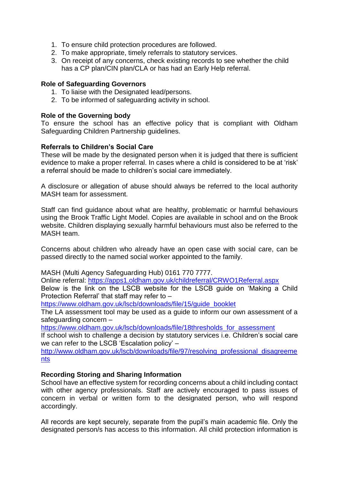- 1. To ensure child protection procedures are followed.
- 2. To make appropriate, timely referrals to statutory services.
- 3. On receipt of any concerns, check existing records to see whether the child has a CP plan/CIN plan/CLA or has had an Early Help referral.

#### **Role of Safeguarding Governors**

- 1. To liaise with the Designated lead/persons.
- 2. To be informed of safeguarding activity in school.

#### **Role of the Governing body**

To ensure the school has an effective policy that is compliant with Oldham Safeguarding Children Partnership guidelines.

#### **Referrals to Children's Social Care**

These will be made by the designated person when it is judged that there is sufficient evidence to make a proper referral. In cases where a child is considered to be at 'risk' a referral should be made to children's social care immediately.

A disclosure or allegation of abuse should always be referred to the local authority MASH team for assessment.

Staff can find guidance about what are healthy, problematic or harmful behaviours using the Brook Traffic Light Model. Copies are available in school and on the Brook website. Children displaying sexually harmful behaviours must also be referred to the MASH team.

Concerns about children who already have an open case with social care, can be passed directly to the named social worker appointed to the family.

MASH (Multi Agency Safeguarding Hub) 0161 770 7777.

Online referral:<https://apps1.oldham.gov.uk/childreferral/CRWO1Referral.aspx>

Below is the link on the LSCB website for the LSCB guide on 'Making a Child Protection Referral' that staff may refer to –

[https://www.oldham.gov.uk/lscb/downloads/file/15/guide\\_booklet](https://www.oldham.gov.uk/lscb/downloads/file/15/guide_booklet)

The LA assessment tool may be used as a guide to inform our own assessment of a safeguarding concern –

[https://www.oldham.gov.uk/lscb/downloads/file/18thresholds\\_for\\_assessment](https://www.oldham.gov.uk/lscb/downloads/file/18thresholds_for_assessment)

If school wish to challenge a decision by statutory services i.e. Children's social care we can refer to the LSCB 'Escalation policy' –

[http://www.oldham.gov.uk/lscb/downloads/file/97/resolving\\_professional\\_disagreeme](http://www.oldham.gov.uk/lscb/downloads/file/97/resolving_professional_disagreements) [nts](http://www.oldham.gov.uk/lscb/downloads/file/97/resolving_professional_disagreements)

#### **Recording Storing and Sharing Information**

School have an effective system for recording concerns about a child including contact with other agency professionals. Staff are actively encouraged to pass issues of concern in verbal or written form to the designated person, who will respond accordingly.

All records are kept securely, separate from the pupil's main academic file. Only the designated person/s has access to this information. All child protection information is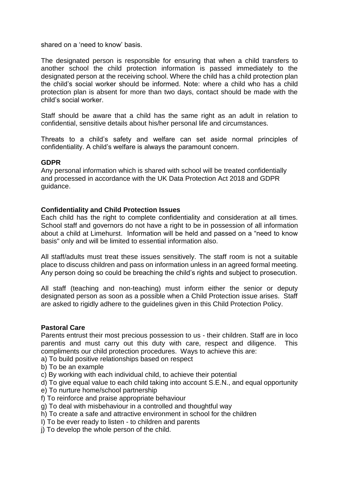shared on a 'need to know' basis.

The designated person is responsible for ensuring that when a child transfers to another school the child protection information is passed immediately to the designated person at the receiving school. Where the child has a child protection plan the child's social worker should be informed. Note: where a child who has a child protection plan is absent for more than two days, contact should be made with the child's social worker.

Staff should be aware that a child has the same right as an adult in relation to confidential, sensitive details about his/her personal life and circumstances.

Threats to a child's safety and welfare can set aside normal principles of confidentiality. A child's welfare is always the paramount concern.

#### **GDPR**

Any personal information which is shared with school will be treated confidentially and processed in accordance with the UK Data Protection Act 2018 and GDPR guidance.

#### **Confidentiality and Child Protection Issues**

Each child has the right to complete confidentiality and consideration at all times. School staff and governors do not have a right to be in possession of all information about a child at Limehurst. Information will be held and passed on a "need to know basis" only and will be limited to essential information also.

All staff/adults must treat these issues sensitively. The staff room is not a suitable place to discuss children and pass on information unless in an agreed formal meeting. Any person doing so could be breaching the child's rights and subject to prosecution.

All staff (teaching and non-teaching) must inform either the senior or deputy designated person as soon as a possible when a Child Protection issue arises. Staff are asked to rigidly adhere to the guidelines given in this Child Protection Policy.

#### **Pastoral Care**

Parents entrust their most precious possession to us - their children. Staff are in loco parentis and must carry out this duty with care, respect and diligence. This compliments our child protection procedures. Ways to achieve this are:

a) To build positive relationships based on respect

- b) To be an example
- c) By working with each individual child, to achieve their potential
- d) To give equal value to each child taking into account S.E.N., and equal opportunity
- e) To nurture home/school partnership
- f) To reinforce and praise appropriate behaviour
- g) To deal with misbehaviour in a controlled and thoughtful way
- h) To create a safe and attractive environment in school for the children
- I) To be ever ready to listen to children and parents
- j) To develop the whole person of the child.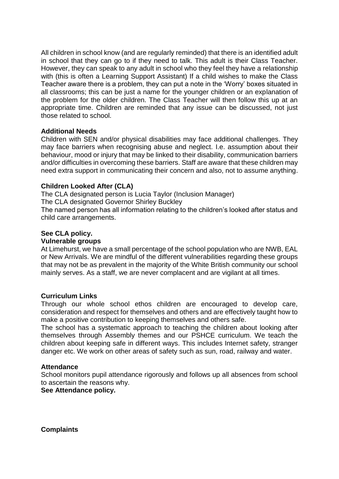All children in school know (and are regularly reminded) that there is an identified adult in school that they can go to if they need to talk. This adult is their Class Teacher. However, they can speak to any adult in school who they feel they have a relationship with (this is often a Learning Support Assistant) If a child wishes to make the Class Teacher aware there is a problem, they can put a note in the 'Worry' boxes situated in all classrooms; this can be just a name for the younger children or an explanation of the problem for the older children. The Class Teacher will then follow this up at an appropriate time. Children are reminded that any issue can be discussed, not just those related to school.

#### **Additional Needs**

Children with SEN and/or physical disabilities may face additional challenges. They may face barriers when recognising abuse and neglect. I.e. assumption about their behaviour, mood or injury that may be linked to their disability, communication barriers and/or difficulties in overcoming these barriers. Staff are aware that these children may need extra support in communicating their concern and also, not to assume anything.

#### **Children Looked After (CLA)**

The CLA designated person is Lucia Taylor (Inclusion Manager) The CLA designated Governor Shirley Buckley The named person has all information relating to the children's looked after status and child care arrangements.

#### **See CLA policy.**

#### **Vulnerable groups**

At Limehurst, we have a small percentage of the school population who are NWB, EAL or New Arrivals. We are mindful of the different vulnerabilities regarding these groups that may not be as prevalent in the majority of the White British community our school mainly serves. As a staff, we are never complacent and are vigilant at all times.

#### **Curriculum Links**

Through our whole school ethos children are encouraged to develop care, consideration and respect for themselves and others and are effectively taught how to make a positive contribution to keeping themselves and others safe.

The school has a systematic approach to teaching the children about looking after themselves through Assembly themes and our PSHCE curriculum. We teach the children about keeping safe in different ways. This includes Internet safety, stranger danger etc. We work on other areas of safety such as sun, road, railway and water.

#### **Attendance**

School monitors pupil attendance rigorously and follows up all absences from school to ascertain the reasons why.

**See Attendance policy.**

**Complaints**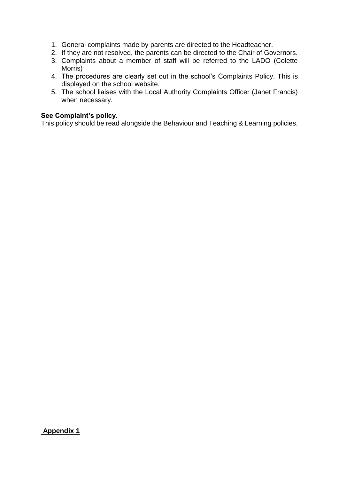- 1. General complaints made by parents are directed to the Headteacher.
- 2. If they are not resolved, the parents can be directed to the Chair of Governors.
- 3. Complaints about a member of staff will be referred to the LADO (Colette Morris)
- 4. The procedures are clearly set out in the school's Complaints Policy. This is displayed on the school website.
- 5. The school liaises with the Local Authority Complaints Officer (Janet Francis) when necessary.

## **See Complaint's policy.**

This policy should be read alongside the Behaviour and Teaching & Learning policies.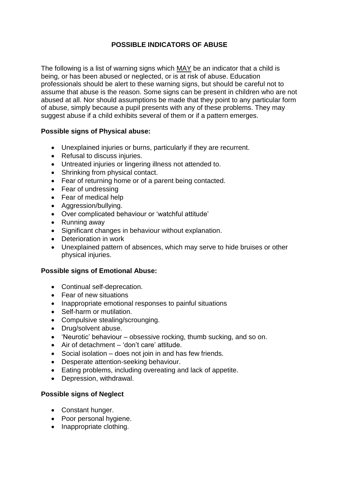## **POSSIBLE INDICATORS OF ABUSE**

The following is a list of warning signs which MAY be an indicator that a child is being, or has been abused or neglected, or is at risk of abuse. Education professionals should be alert to these warning signs, but should be careful not to assume that abuse is the reason. Some signs can be present in children who are not abused at all. Nor should assumptions be made that they point to any particular form of abuse, simply because a pupil presents with any of these problems. They may suggest abuse if a child exhibits several of them or if a pattern emerges.

## **Possible signs of Physical abuse:**

- Unexplained injuries or burns, particularly if they are recurrent.
- Refusal to discuss injuries.
- Untreated injuries or lingering illness not attended to.
- Shrinking from physical contact.
- Fear of returning home or of a parent being contacted.
- Fear of undressing
- Fear of medical help
- Aggression/bullying.
- Over complicated behaviour or 'watchful attitude'
- Running away
- Significant changes in behaviour without explanation.
- Deterioration in work
- Unexplained pattern of absences, which may serve to hide bruises or other physical injuries.

#### **Possible signs of Emotional Abuse:**

- Continual self-deprecation.
- Fear of new situations
- Inappropriate emotional responses to painful situations
- Self-harm or mutilation.
- Compulsive stealing/scrounging.
- Drug/solvent abuse.
- 'Neurotic' behaviour obsessive rocking, thumb sucking, and so on.
- Air of detachment 'don't care' attitude.
- Social isolation does not join in and has few friends.
- Desperate attention-seeking behaviour.
- Eating problems, including overeating and lack of appetite.
- Depression, withdrawal.

#### **Possible signs of Neglect**

- Constant hunger.
- Poor personal hygiene.
- Inappropriate clothing.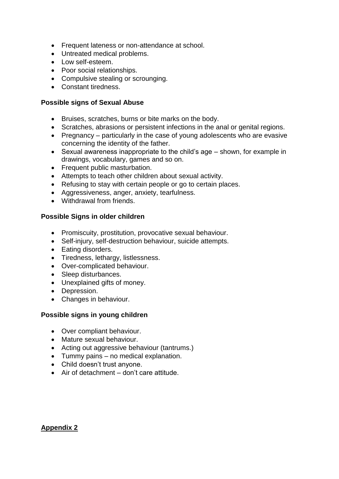- Frequent lateness or non-attendance at school.
- Untreated medical problems.
- Low self-esteem.
- Poor social relationships.
- Compulsive stealing or scrounging.
- Constant tiredness.

#### **Possible signs of Sexual Abuse**

- Bruises, scratches, burns or bite marks on the body.
- Scratches, abrasions or persistent infections in the anal or genital regions.
- Pregnancy particularly in the case of young adolescents who are evasive concerning the identity of the father.
- Sexual awareness inappropriate to the child's age shown, for example in drawings, vocabulary, games and so on.
- Frequent public masturbation.
- Attempts to teach other children about sexual activity.
- Refusing to stay with certain people or go to certain places.
- Aggressiveness, anger, anxiety, tearfulness.
- Withdrawal from friends.

## **Possible Signs in older children**

- Promiscuity, prostitution, provocative sexual behaviour.
- Self-injury, self-destruction behaviour, suicide attempts.
- Eating disorders.
- Tiredness, lethargy, listlessness.
- Over-complicated behaviour.
- Sleep disturbances.
- Unexplained gifts of money.
- Depression.
- Changes in behaviour.

## **Possible signs in young children**

- Over compliant behaviour.
- Mature sexual behaviour.
- Acting out aggressive behaviour (tantrums.)
- Tummy pains no medical explanation.
- Child doesn't trust anyone.
- Air of detachment don't care attitude.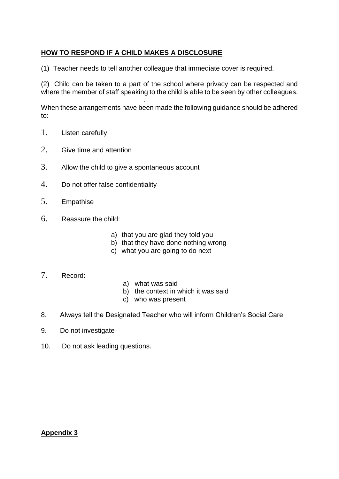## **HOW TO RESPOND IF A CHILD MAKES A DISCLOSURE**

(1) Teacher needs to tell another colleague that immediate cover is required.

(2) Child can be taken to a part of the school where privacy can be respected and where the member of staff speaking to the child is able to be seen by other colleagues.

. When these arrangements have been made the following guidance should be adhered to:

- 1. Listen carefully
- 2. Give time and attention
- 3. Allow the child to give a spontaneous account
- 4. Do not offer false confidentiality
- 5. Empathise
- 6. Reassure the child:
	- a) that you are glad they told you
	- b) that they have done nothing wrong
	- c) what you are going to do next
- 7. Record:
- a) what was said
- b) the context in which it was said
- c) who was present
- 8. Always tell the Designated Teacher who will inform Children's Social Care
- 9. Do not investigate
- 10. Do not ask leading questions.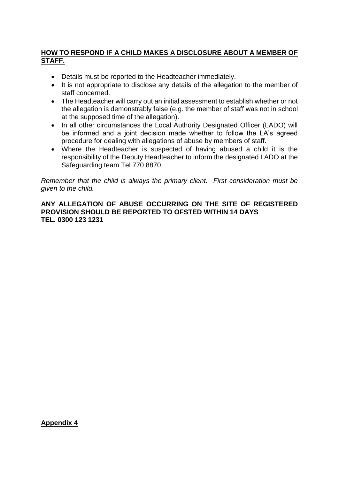## **HOW TO RESPOND IF A CHILD MAKES A DISCLOSURE ABOUT A MEMBER OF STAFF.**

- Details must be reported to the Headteacher immediately.
- It is not appropriate to disclose any details of the allegation to the member of staff concerned.
- The Headteacher will carry out an initial assessment to establish whether or not the allegation is demonstrably false (e.g. the member of staff was not in school at the supposed time of the allegation).
- In all other circumstances the Local Authority Designated Officer (LADO) will be informed and a joint decision made whether to follow the LA's agreed procedure for dealing with allegations of abuse by members of staff.
- Where the Headteacher is suspected of having abused a child it is the responsibility of the Deputy Headteacher to inform the designated LADO at the Safeguarding team Tel 770 8870

*Remember that the child is always the primary client. First consideration must be given to the child.* 

#### **ANY ALLEGATION OF ABUSE OCCURRING ON THE SITE OF REGISTERED PROVISION SHOULD BE REPORTED TO OFSTED WITHIN 14 DAYS TEL. 0300 123 1231**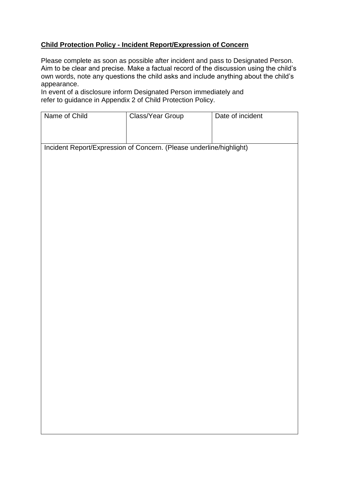## **Child Protection Policy - Incident Report/Expression of Concern**

Please complete as soon as possible after incident and pass to Designated Person. Aim to be clear and precise. Make a factual record of the discussion using the child's own words, note any questions the child asks and include anything about the child's appearance.

In event of a disclosure inform Designated Person immediately and refer to guidance in Appendix 2 of Child Protection Policy.

| Name of Child                                                       | Class/Year Group | Date of incident |  |  |
|---------------------------------------------------------------------|------------------|------------------|--|--|
|                                                                     |                  |                  |  |  |
|                                                                     |                  |                  |  |  |
| Incident Report/Expression of Concern. (Please underline/highlight) |                  |                  |  |  |
|                                                                     |                  |                  |  |  |
|                                                                     |                  |                  |  |  |
|                                                                     |                  |                  |  |  |
|                                                                     |                  |                  |  |  |
|                                                                     |                  |                  |  |  |
|                                                                     |                  |                  |  |  |
|                                                                     |                  |                  |  |  |
|                                                                     |                  |                  |  |  |
|                                                                     |                  |                  |  |  |
|                                                                     |                  |                  |  |  |
|                                                                     |                  |                  |  |  |
|                                                                     |                  |                  |  |  |
|                                                                     |                  |                  |  |  |
|                                                                     |                  |                  |  |  |
|                                                                     |                  |                  |  |  |
|                                                                     |                  |                  |  |  |
|                                                                     |                  |                  |  |  |
|                                                                     |                  |                  |  |  |
|                                                                     |                  |                  |  |  |
|                                                                     |                  |                  |  |  |
|                                                                     |                  |                  |  |  |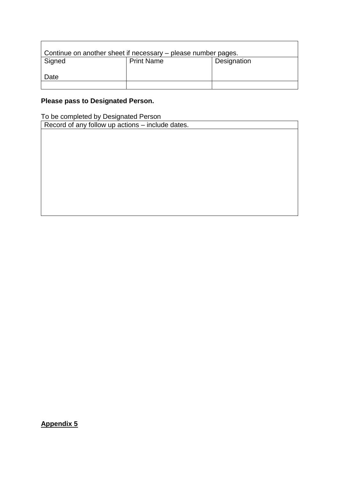| Continue on another sheet if necessary – please number pages. |                   |             |  |  |  |
|---------------------------------------------------------------|-------------------|-------------|--|--|--|
| Signed                                                        | <b>Print Name</b> | Designation |  |  |  |
| Date                                                          |                   |             |  |  |  |
|                                                               |                   |             |  |  |  |

## **Please pass to Designated Person.**

| To be completed by Designated Person             |  |  |  |  |
|--------------------------------------------------|--|--|--|--|
| Record of any follow up actions - include dates. |  |  |  |  |
|                                                  |  |  |  |  |
|                                                  |  |  |  |  |
|                                                  |  |  |  |  |
|                                                  |  |  |  |  |
|                                                  |  |  |  |  |
|                                                  |  |  |  |  |
|                                                  |  |  |  |  |
|                                                  |  |  |  |  |
|                                                  |  |  |  |  |
|                                                  |  |  |  |  |

<u> 1989 - Johann Barnett, fransk politiker (</u>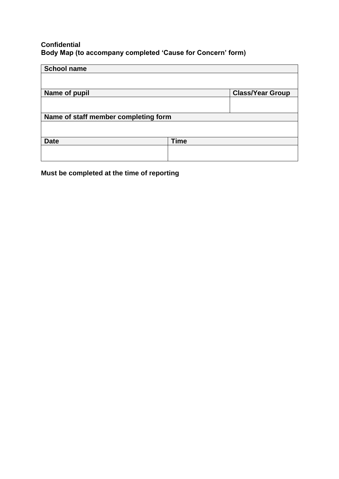## **Confidential Body Map (to accompany completed 'Cause for Concern' form)**

| <b>School name</b>                   |             |                         |  |  |
|--------------------------------------|-------------|-------------------------|--|--|
|                                      |             |                         |  |  |
| Name of pupil                        |             | <b>Class/Year Group</b> |  |  |
|                                      |             |                         |  |  |
| Name of staff member completing form |             |                         |  |  |
|                                      |             |                         |  |  |
| <b>Date</b>                          | <b>Time</b> |                         |  |  |
|                                      |             |                         |  |  |

**Must be completed at the time of reporting**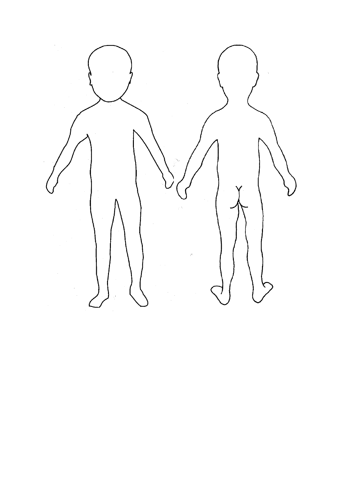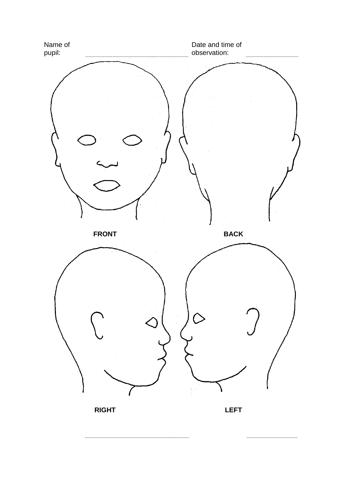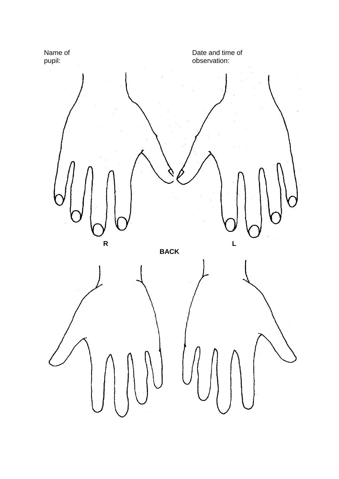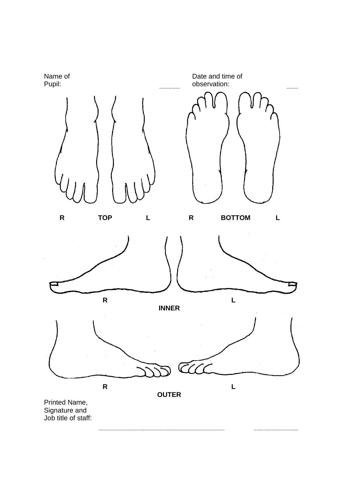